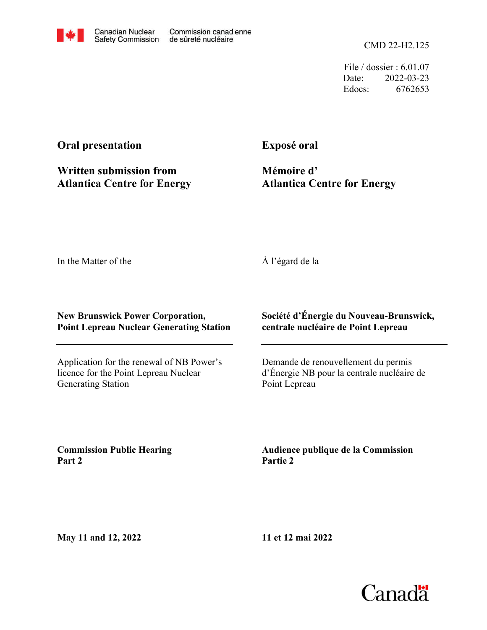CMD 22-H2.125

File / dossier : 6.01.07 Date: 2022-03-23 Edocs: 6762653

## **Oral presentation**

**Written submission from Atlantica Centre for Energy** **Exposé oral**

**Mémoire d' Atlantica Centre for Energy**

In the Matter of the

À l'égard de la

## **New Brunswick Power Corporation, Point Lepreau Nuclear Generating Station**

Application for the renewal of NB Power's licence for the Point Lepreau Nuclear Generating Station

**Société d'Énergie du Nouveau-Brunswick, centrale nucléaire de Point Lepreau**

Demande de renouvellement du permis d'Énergie NB pour la centrale nucléaire de Point Lepreau

**Commission Public Hearing Part 2**

**Audience publique de la Commission Partie 2**

**May 11 and 12, 2022**

**11 et 12 mai 2022**

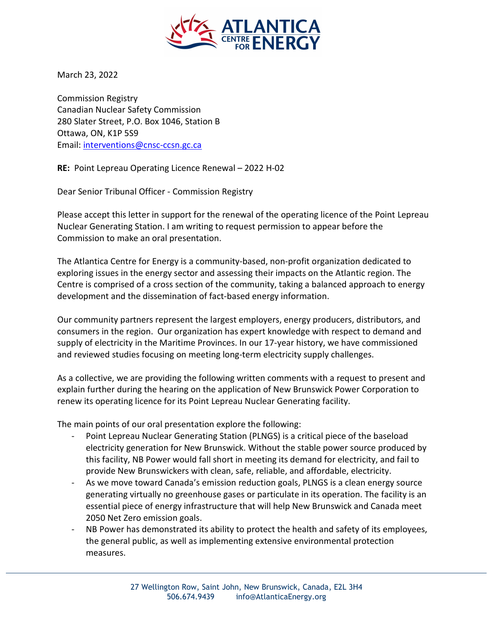

March 23, 2022

Commission Registry Canadian Nuclear Safety Commission 280 Slater Street, P.O. Box 1046, Station B Ottawa, ON, K1P 5S9 Email: interventions@cnsc-ccsn.gc.ca

RE: Point Lepreau Operating Licence Renewal – 2022 H-02

Dear Senior Tribunal Officer - Commission Registry

Please accept this letter in support for the renewal of the operating licence of the Point Lepreau Nuclear Generating Station. I am writing to request permission to appear before the Commission to make an oral presentation.

The Atlantica Centre for Energy is a community-based, non-profit organization dedicated to exploring issues in the energy sector and assessing their impacts on the Atlantic region. The Centre is comprised of a cross section of the community, taking a balanced approach to energy development and the dissemination of fact-based energy information.

Our community partners represent the largest employers, energy producers, distributors, and consumers in the region. Our organization has expert knowledge with respect to demand and supply of electricity in the Maritime Provinces. In our 17-year history, we have commissioned and reviewed studies focusing on meeting long-term electricity supply challenges.

As a collective, we are providing the following written comments with a request to present and explain further during the hearing on the application of New Brunswick Power Corporation to renew its operating licence for its Point Lepreau Nuclear Generating facility.

The main points of our oral presentation explore the following:

- Point Lepreau Nuclear Generating Station (PLNGS) is a critical piece of the baseload electricity generation for New Brunswick. Without the stable power source produced by this facility, NB Power would fall short in meeting its demand for electricity, and fail to provide New Brunswickers with clean, safe, reliable, and affordable, electricity.
- As we move toward Canada's emission reduction goals, PLNGS is a clean energy source generating virtually no greenhouse gases or particulate in its operation. The facility is an essential piece of energy infrastructure that will help New Brunswick and Canada meet 2050 Net Zero emission goals.
- NB Power has demonstrated its ability to protect the health and safety of its employees, the general public, as well as implementing extensive environmental protection measures.